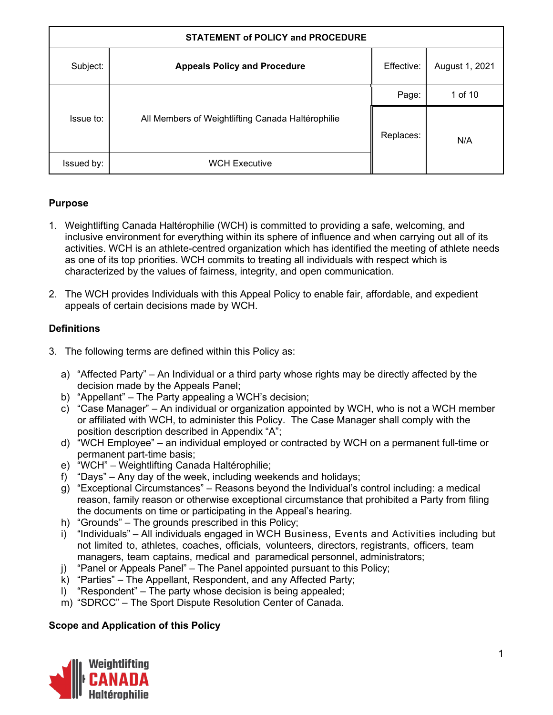| <b>STATEMENT of POLICY and PROCEDURE</b> |                                                   |            |                |
|------------------------------------------|---------------------------------------------------|------------|----------------|
| Subject:                                 | <b>Appeals Policy and Procedure</b>               | Effective: | August 1, 2021 |
| Issue to:                                |                                                   | Page:      | 1 of 10        |
|                                          | All Members of Weightlifting Canada Haltérophilie | Replaces:  | N/A            |
| Issued by:                               | <b>WCH Executive</b>                              |            |                |

## **Purpose**

- 1. Weightlifting Canada Haltérophilie (WCH) is committed to providing a safe, welcoming, and inclusive environment for everything within its sphere of influence and when carrying out all of its activities. WCH is an athlete-centred organization which has identified the meeting of athlete needs as one of its top priorities. WCH commits to treating all individuals with respect which is characterized by the values of fairness, integrity, and open communication.
- 2. The WCH provides Individuals with this Appeal Policy to enable fair, affordable, and expedient appeals of certain decisions made by WCH.

## **Definitions**

- 3. The following terms are defined within this Policy as:
	- a) "Affected Party" An Individual or a third party whose rights may be directly affected by the decision made by the Appeals Panel;
	- b) "Appellant" The Party appealing a WCH's decision;
	- c) "Case Manager" An individual or organization appointed by WCH, who is not a WCH member or affiliated with WCH, to administer this Policy. The Case Manager shall comply with the position description described in Appendix "A";
	- d) "WCH Employee" an individual employed or contracted by WCH on a permanent full-time or permanent part-time basis;
	- e) "WCH" Weightlifting Canada Haltérophilie;
	- f) "Days" Any day of the week, including weekends and holidays;
	- g) "Exceptional Circumstances" Reasons beyond the Individual's control including: a medical reason, family reason or otherwise exceptional circumstance that prohibited a Party from filing the documents on time or participating in the Appeal's hearing.
	- h) "Grounds" The grounds prescribed in this Policy;
	- i) "Individuals" All individuals engaged in WCH Business, Events and Activities including but not limited to, athletes, coaches, officials, volunteers, directors, registrants, officers, team managers, team captains, medical and paramedical personnel, administrators;
	- j) "Panel or Appeals Panel" The Panel appointed pursuant to this Policy;
	- k) "Parties" The Appellant, Respondent, and any Affected Party;
	- l) "Respondent" The party whose decision is being appealed;
	- m) "SDRCC" The Sport Dispute Resolution Center of Canada.

## **Scope and Application of this Policy**

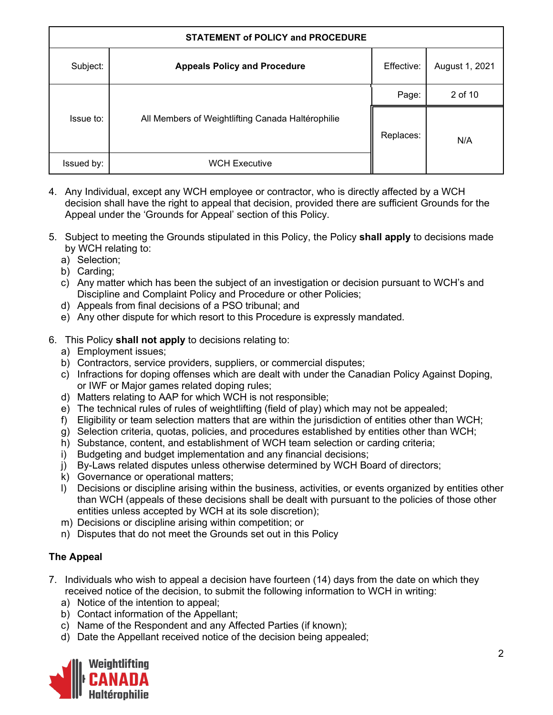| <b>STATEMENT of POLICY and PROCEDURE</b> |                                                   |            |                |
|------------------------------------------|---------------------------------------------------|------------|----------------|
| Subject:                                 | <b>Appeals Policy and Procedure</b>               | Effective: | August 1, 2021 |
|                                          |                                                   | Page:      | 2 of 10        |
| Issue to:                                | All Members of Weightlifting Canada Haltérophilie | Replaces:  | N/A            |
| Issued by:                               | <b>WCH Executive</b>                              |            |                |

- 4. Any Individual, except any WCH employee or contractor, who is directly affected by a WCH decision shall have the right to appeal that decision, provided there are sufficient Grounds for the Appeal under the 'Grounds for Appeal' section of this Policy.
- 5. Subject to meeting the Grounds stipulated in this Policy, the Policy **shall apply** to decisions made by WCH relating to:
	- a) Selection;
	- b) Carding;
	- c) Any matter which has been the subject of an investigation or decision pursuant to WCH's and Discipline and Complaint Policy and Procedure or other Policies;
	- d) Appeals from final decisions of a PSO tribunal; and
	- e) Any other dispute for which resort to this Procedure is expressly mandated.
- 6. This Policy **shall not apply** to decisions relating to:
	- a) Employment issues;
	- b) Contractors, service providers, suppliers, or commercial disputes;
	- c) Infractions for doping offenses which are dealt with under the Canadian Policy Against Doping, or IWF or Major games related doping rules;
	- d) Matters relating to AAP for which WCH is not responsible;
	- e) The technical rules of rules of weightlifting (field of play) which may not be appealed;
	- f) Eligibility or team selection matters that are within the jurisdiction of entities other than WCH;
	- g) Selection criteria, quotas, policies, and procedures established by entities other than WCH;
	- h) Substance, content, and establishment of WCH team selection or carding criteria;
	- i) Budgeting and budget implementation and any financial decisions;
	- j) By-Laws related disputes unless otherwise determined by WCH Board of directors;
	- k) Governance or operational matters;
	- l) Decisions or discipline arising within the business, activities, or events organized by entities other than WCH (appeals of these decisions shall be dealt with pursuant to the policies of those other entities unless accepted by WCH at its sole discretion);
	- m) Decisions or discipline arising within competition; or
	- n) Disputes that do not meet the Grounds set out in this Policy

## **The Appeal**

- 7. Individuals who wish to appeal a decision have fourteen (14) days from the date on which they received notice of the decision, to submit the following information to WCH in writing:
	- a) Notice of the intention to appeal;
	- b) Contact information of the Appellant;
	- c) Name of the Respondent and any Affected Parties (if known);
	- d) Date the Appellant received notice of the decision being appealed;

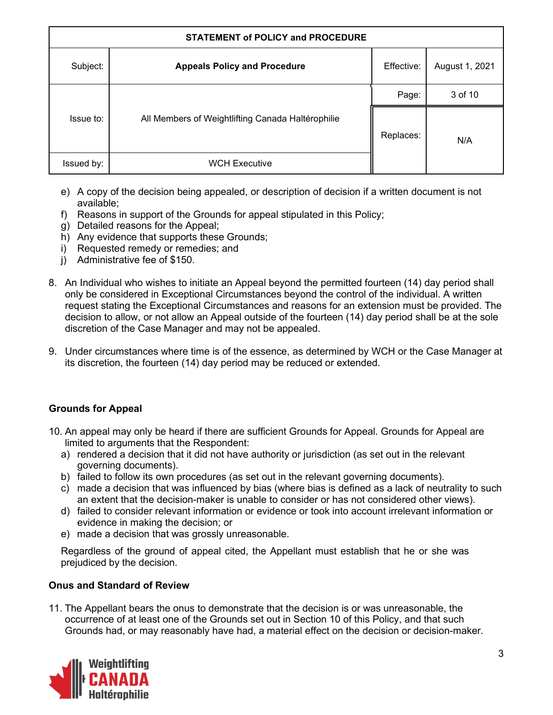| <b>STATEMENT of POLICY and PROCEDURE</b> |                                                   |            |                |
|------------------------------------------|---------------------------------------------------|------------|----------------|
| Subject:                                 | <b>Appeals Policy and Procedure</b>               | Effective: | August 1, 2021 |
|                                          |                                                   | Page:      | 3 of 10        |
| Issue to:                                | All Members of Weightlifting Canada Haltérophilie | Replaces:  | N/A            |
| Issued by:                               | <b>WCH Executive</b>                              |            |                |

- e) A copy of the decision being appealed, or description of decision if a written document is not available;
- f) Reasons in support of the Grounds for appeal stipulated in this Policy;
- g) Detailed reasons for the Appeal;
- h) Any evidence that supports these Grounds;
- i) Requested remedy or remedies; and
- j) Administrative fee of \$150.
- 8. An Individual who wishes to initiate an Appeal beyond the permitted fourteen (14) day period shall only be considered in Exceptional Circumstances beyond the control of the individual. A written request stating the Exceptional Circumstances and reasons for an extension must be provided. The decision to allow, or not allow an Appeal outside of the fourteen (14) day period shall be at the sole discretion of the Case Manager and may not be appealed.
- 9. Under circumstances where time is of the essence, as determined by WCH or the Case Manager at its discretion, the fourteen (14) day period may be reduced or extended.

## **Grounds for Appeal**

- 10. An appeal may only be heard if there are sufficient Grounds for Appeal. Grounds for Appeal are limited to arguments that the Respondent:
	- a) rendered a decision that it did not have authority or jurisdiction (as set out in the relevant governing documents).
	- b) failed to follow its own procedures (as set out in the relevant governing documents).
	- c) made a decision that was influenced by bias (where bias is defined as a lack of neutrality to such an extent that the decision-maker is unable to consider or has not considered other views).
	- d) failed to consider relevant information or evidence or took into account irrelevant information or evidence in making the decision; or
	- e) made a decision that was grossly unreasonable.

Regardless of the ground of appeal cited, the Appellant must establish that he or she was prejudiced by the decision.

## **Onus and Standard of Review**

11. The Appellant bears the onus to demonstrate that the decision is or was unreasonable, the occurrence of at least one of the Grounds set out in Section 10 of this Policy, and that such Grounds had, or may reasonably have had, a material effect on the decision or decision-maker.

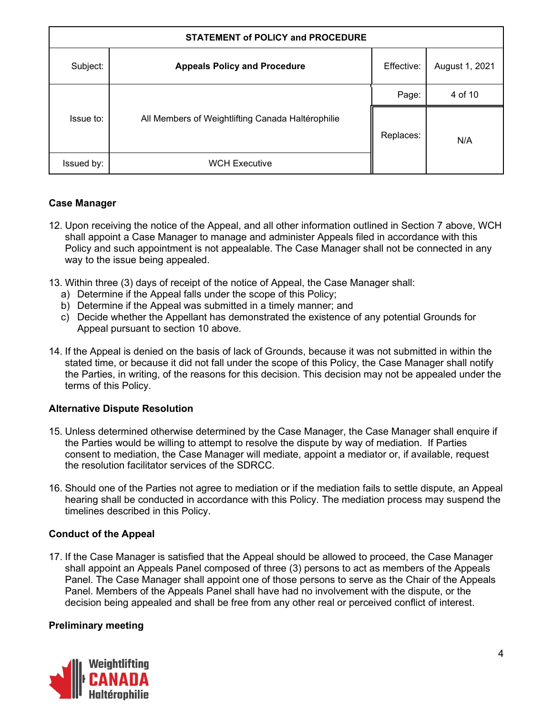| <b>STATEMENT of POLICY and PROCEDURE</b> |                                                   |            |                |
|------------------------------------------|---------------------------------------------------|------------|----------------|
| Subject:                                 | <b>Appeals Policy and Procedure</b>               | Effective: | August 1, 2021 |
| Issue to:                                |                                                   | Page:      | 4 of 10        |
|                                          | All Members of Weightlifting Canada Haltérophilie | Replaces:  | N/A            |
| Issued by:                               | <b>WCH Executive</b>                              |            |                |

## **Case Manager**

- 12. Upon receiving the notice of the Appeal, and all other information outlined in Section 7 above, WCH shall appoint a Case Manager to manage and administer Appeals filed in accordance with this Policy and such appointment is not appealable. The Case Manager shall not be connected in any way to the issue being appealed.
- 13. Within three (3) days of receipt of the notice of Appeal, the Case Manager shall:
	- a) Determine if the Appeal falls under the scope of this Policy;
	- b) Determine if the Appeal was submitted in a timely manner; and
	- c) Decide whether the Appellant has demonstrated the existence of any potential Grounds for Appeal pursuant to section 10 above.
- 14. If the Appeal is denied on the basis of lack of Grounds, because it was not submitted in within the stated time, or because it did not fall under the scope of this Policy, the Case Manager shall notify the Parties, in writing, of the reasons for this decision. This decision may not be appealed under the terms of this Policy.

## **Alternative Dispute Resolution**

- 15. Unless determined otherwise determined by the Case Manager, the Case Manager shall enquire if the Parties would be willing to attempt to resolve the dispute by way of mediation. If Parties consent to mediation, the Case Manager will mediate, appoint a mediator or, if available, request the resolution facilitator services of the SDRCC.
- 16. Should one of the Parties not agree to mediation or if the mediation fails to settle dispute, an Appeal hearing shall be conducted in accordance with this Policy. The mediation process may suspend the timelines described in this Policy.

## **Conduct of the Appeal**

17. If the Case Manager is satisfied that the Appeal should be allowed to proceed, the Case Manager shall appoint an Appeals Panel composed of three (3) persons to act as members of the Appeals Panel. The Case Manager shall appoint one of those persons to serve as the Chair of the Appeals Panel. Members of the Appeals Panel shall have had no involvement with the dispute, or the decision being appealed and shall be free from any other real or perceived conflict of interest.

## **Preliminary meeting**

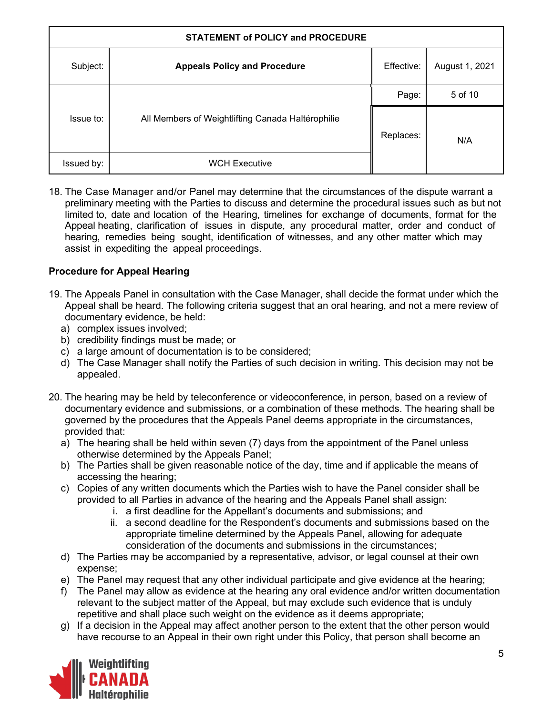| <b>STATEMENT of POLICY and PROCEDURE</b> |                                                   |            |                |
|------------------------------------------|---------------------------------------------------|------------|----------------|
| Subject:                                 | <b>Appeals Policy and Procedure</b>               | Effective: | August 1, 2021 |
| Issue to:                                |                                                   | Page:      | 5 of 10        |
|                                          | All Members of Weightlifting Canada Haltérophilie | Replaces:  | N/A            |
| Issued by:                               | <b>WCH Executive</b>                              |            |                |

18. The Case Manager and/or Panel may determine that the circumstances of the dispute warrant a preliminary meeting with the Parties to discuss and determine the procedural issues such as but not limited to, date and location of the Hearing, timelines for exchange of documents, format for the Appeal heating, clarification of issues in dispute, any procedural matter, order and conduct of hearing, remedies being sought, identification of witnesses, and any other matter which may assist in expediting the appeal proceedings.

## **Procedure for Appeal Hearing**

- 19. The Appeals Panel in consultation with the Case Manager, shall decide the format under which the Appeal shall be heard. The following criteria suggest that an oral hearing, and not a mere review of documentary evidence, be held:
	- a) complex issues involved;
	- b) credibility findings must be made; or
	- c) a large amount of documentation is to be considered;
	- d) The Case Manager shall notify the Parties of such decision in writing. This decision may not be appealed.
- 20. The hearing may be held by teleconference or videoconference, in person, based on a review of documentary evidence and submissions, or a combination of these methods. The hearing shall be governed by the procedures that the Appeals Panel deems appropriate in the circumstances, provided that:
	- a) The hearing shall be held within seven (7) days from the appointment of the Panel unless otherwise determined by the Appeals Panel;
	- b) The Parties shall be given reasonable notice of the day, time and if applicable the means of accessing the hearing;
	- c) Copies of any written documents which the Parties wish to have the Panel consider shall be provided to all Parties in advance of the hearing and the Appeals Panel shall assign:
		- i. a first deadline for the Appellant's documents and submissions; and
		- ii. a second deadline for the Respondent's documents and submissions based on the appropriate timeline determined by the Appeals Panel, allowing for adequate consideration of the documents and submissions in the circumstances;
	- d) The Parties may be accompanied by a representative, advisor, or legal counsel at their own expense;
	- e) The Panel may request that any other individual participate and give evidence at the hearing;
	- f) The Panel may allow as evidence at the hearing any oral evidence and/or written documentation relevant to the subject matter of the Appeal, but may exclude such evidence that is unduly repetitive and shall place such weight on the evidence as it deems appropriate;
	- g) If a decision in the Appeal may affect another person to the extent that the other person would have recourse to an Appeal in their own right under this Policy, that person shall become an

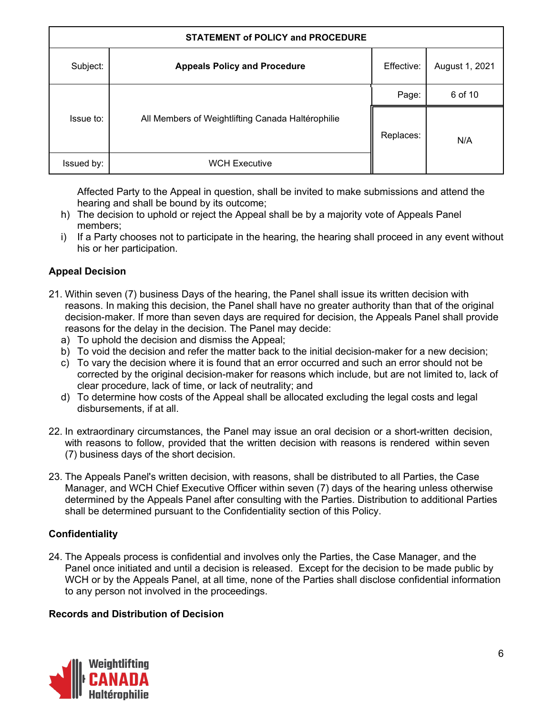| <b>STATEMENT of POLICY and PROCEDURE</b> |                                                   |            |                |
|------------------------------------------|---------------------------------------------------|------------|----------------|
| Subject:                                 | <b>Appeals Policy and Procedure</b>               | Effective: | August 1, 2021 |
|                                          |                                                   | Page:      | 6 of 10        |
| Issue to:                                | All Members of Weightlifting Canada Haltérophilie | Replaces:  | N/A            |
| Issued by:                               | <b>WCH Executive</b>                              |            |                |

Affected Party to the Appeal in question, shall be invited to make submissions and attend the hearing and shall be bound by its outcome;

- h) The decision to uphold or reject the Appeal shall be by a majority vote of Appeals Panel members;
- i) If a Party chooses not to participate in the hearing, the hearing shall proceed in any event without his or her participation.

## **Appeal Decision**

- 21. Within seven (7) business Days of the hearing, the Panel shall issue its written decision with reasons. In making this decision, the Panel shall have no greater authority than that of the original decision-maker. If more than seven days are required for decision, the Appeals Panel shall provide reasons for the delay in the decision. The Panel may decide:
	- a) To uphold the decision and dismiss the Appeal;
	- b) To void the decision and refer the matter back to the initial decision-maker for a new decision;
	- c) To vary the decision where it is found that an error occurred and such an error should not be corrected by the original decision-maker for reasons which include, but are not limited to, lack of clear procedure, lack of time, or lack of neutrality; and
	- d) To determine how costs of the Appeal shall be allocated excluding the legal costs and legal disbursements, if at all.
- 22. In extraordinary circumstances, the Panel may issue an oral decision or a short-written decision, with reasons to follow, provided that the written decision with reasons is rendered within seven (7) business days of the short decision.
- 23. The Appeals Panel's written decision, with reasons, shall be distributed to all Parties, the Case Manager, and WCH Chief Executive Officer within seven (7) days of the hearing unless otherwise determined by the Appeals Panel after consulting with the Parties. Distribution to additional Parties shall be determined pursuant to the Confidentiality section of this Policy.

## **Confidentiality**

24. The Appeals process is confidential and involves only the Parties, the Case Manager, and the Panel once initiated and until a decision is released. Except for the decision to be made public by WCH or by the Appeals Panel, at all time, none of the Parties shall disclose confidential information to any person not involved in the proceedings.

## **Records and Distribution of Decision**

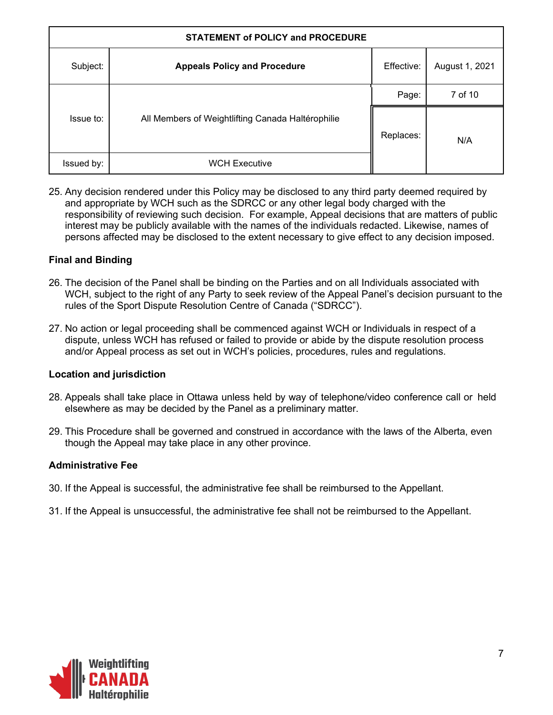| <b>STATEMENT of POLICY and PROCEDURE</b> |                                                   |            |                |
|------------------------------------------|---------------------------------------------------|------------|----------------|
| Subject:                                 | <b>Appeals Policy and Procedure</b>               | Effective: | August 1, 2021 |
| Issue to:                                |                                                   | Page:      | 7 of 10        |
|                                          | All Members of Weightlifting Canada Haltérophilie | Replaces:  | N/A            |
| Issued by:                               | <b>WCH Executive</b>                              |            |                |

25. Any decision rendered under this Policy may be disclosed to any third party deemed required by and appropriate by WCH such as the SDRCC or any other legal body charged with the responsibility of reviewing such decision. For example, Appeal decisions that are matters of public interest may be publicly available with the names of the individuals redacted. Likewise, names of persons affected may be disclosed to the extent necessary to give effect to any decision imposed.

## **Final and Binding**

- 26. The decision of the Panel shall be binding on the Parties and on all Individuals associated with WCH, subject to the right of any Party to seek review of the Appeal Panel's decision pursuant to the rules of the Sport Dispute Resolution Centre of Canada ("SDRCC").
- 27. No action or legal proceeding shall be commenced against WCH or Individuals in respect of a dispute, unless WCH has refused or failed to provide or abide by the dispute resolution process and/or Appeal process as set out in WCH's policies, procedures, rules and regulations.

## **Location and jurisdiction**

- 28. Appeals shall take place in Ottawa unless held by way of telephone/video conference call or held elsewhere as may be decided by the Panel as a preliminary matter.
- 29. This Procedure shall be governed and construed in accordance with the laws of the Alberta, even though the Appeal may take place in any other province.

#### **Administrative Fee**

- 30. If the Appeal is successful, the administrative fee shall be reimbursed to the Appellant.
- 31. If the Appeal is unsuccessful, the administrative fee shall not be reimbursed to the Appellant.

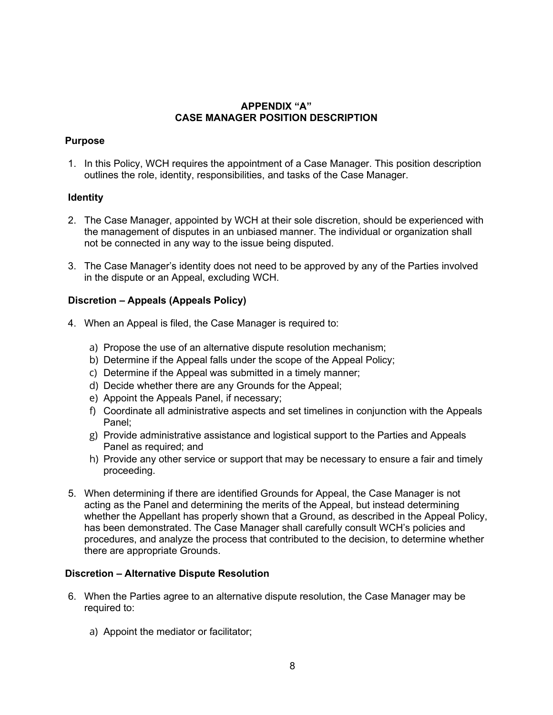#### **APPENDIX "A" CASE MANAGER POSITION DESCRIPTION**

#### **Purpose**

1. In this Policy, WCH requires the appointment of a Case Manager. This position description outlines the role, identity, responsibilities, and tasks of the Case Manager.

#### **Identity**

- 2. The Case Manager, appointed by WCH at their sole discretion, should be experienced with the management of disputes in an unbiased manner. The individual or organization shall not be connected in any way to the issue being disputed.
- 3. The Case Manager's identity does not need to be approved by any of the Parties involved in the dispute or an Appeal, excluding WCH.

#### **Discretion – Appeals (Appeals Policy)**

- 4. When an Appeal is filed, the Case Manager is required to:
	- a) Propose the use of an alternative dispute resolution mechanism;
	- b) Determine if the Appeal falls under the scope of the Appeal Policy;
	- c) Determine if the Appeal was submitted in a timely manner;
	- d) Decide whether there are any Grounds for the Appeal;
	- e) Appoint the Appeals Panel, if necessary;
	- f) Coordinate all administrative aspects and set timelines in conjunction with the Appeals Panel;
	- g) Provide administrative assistance and logistical support to the Parties and Appeals Panel as required; and
	- h) Provide any other service or support that may be necessary to ensure a fair and timely proceeding.
- 5. When determining if there are identified Grounds for Appeal, the Case Manager is not acting as the Panel and determining the merits of the Appeal, but instead determining whether the Appellant has properly shown that a Ground, as described in the Appeal Policy, has been demonstrated. The Case Manager shall carefully consult WCH's policies and procedures, and analyze the process that contributed to the decision, to determine whether there are appropriate Grounds.

#### **Discretion – Alternative Dispute Resolution**

- 6. When the Parties agree to an alternative dispute resolution, the Case Manager may be required to:
	- a) Appoint the mediator or facilitator;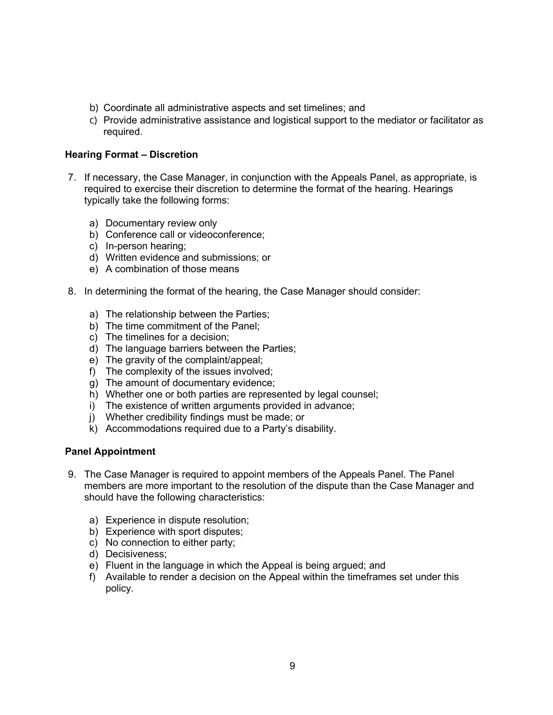- b) Coordinate all administrative aspects and set timelines; and
- c) Provide administrative assistance and logistical support to the mediator or facilitator as required.

#### **Hearing Format – Discretion**

- 7. If necessary, the Case Manager, in conjunction with the Appeals Panel, as appropriate, is required to exercise their discretion to determine the format of the hearing. Hearings typically take the following forms:
	- a) Documentary review only
	- b) Conference call or videoconference;
	- c) In-person hearing;
	- d) Written evidence and submissions; or
	- e) A combination of those means
- 8. In determining the format of the hearing, the Case Manager should consider:
	- a) The relationship between the Parties;
	- b) The time commitment of the Panel;
	- c) The timelines for a decision;
	- d) The language barriers between the Parties;
	- e) The gravity of the complaint/appeal;
	- f) The complexity of the issues involved;
	- g) The amount of documentary evidence;
	- h) Whether one or both parties are represented by legal counsel;
	- i) The existence of written arguments provided in advance;
	- j) Whether credibility findings must be made; or
	- k) Accommodations required due to a Party's disability.

#### **Panel Appointment**

- 9. The Case Manager is required to appoint members of the Appeals Panel. The Panel members are more important to the resolution of the dispute than the Case Manager and should have the following characteristics:
	- a) Experience in dispute resolution;
	- b) Experience with sport disputes;
	- c) No connection to either party;
	- d) Decisiveness;
	- e) Fluent in the language in which the Appeal is being argued; and
	- f) Available to render a decision on the Appeal within the timeframes set under this policy.